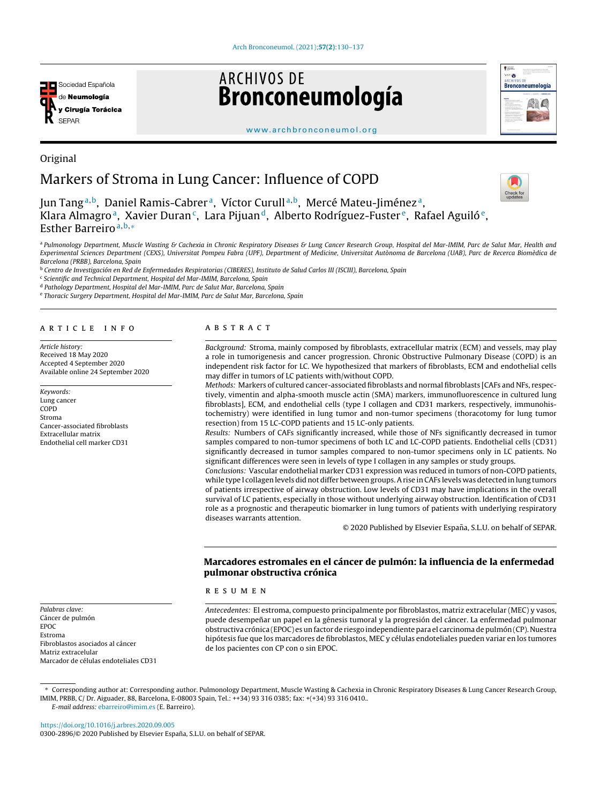

Original

# **ARCHIVOS DE** Bronconeumología



[www.archbronconeumol.org](http://www.archbronconeumol.org)

# Markers of Stroma in Lung Cancer: Influence of COPD

Jun Tang<sup>a,b</sup>, Daniel Ramis-Cabrer<sup>a</sup>, Víctor Curull<sup>a,b</sup>, Mercé Mateu-Jiménez<sup>a</sup>, Klara Almagroª, Xavier Duran¢, Lara Pijuan<sup>d</sup>, Alberto Rodríguez-Fuster<sup>e</sup>, Rafael Aguilóª, Esther Barreiro $a,b,*$ 

<sup>a</sup> Pulmonology Department, Muscle Wasting & Cachexia in Chronic Respiratory Diseases & Lung Cancer Research Group, Hospital del Mar-IMIM, Parc de Salut Mar, Health and Experimental Sciences Department (CEXS), Universitat Pompeu Fabra (UPF), Department of Medicine, Universitat Autònoma de Barcelona (UAB), Parc de Recerca Biomèdica de Barcelona (PRBB), Barcelona, Spain

<sup>b</sup> Centro de Investigación en Red de Enfermedades Respiratorias (CIBERES), Instituto de Salud Carlos III (ISCIII), Barcelona, Spain

<sup>c</sup> Scientific and Technical Department, Hospital del Mar-IMIM, Barcelona, Spain

<sup>d</sup> Pathology Department, Hospital del Mar-IMIM, Parc de Salut Mar, Barcelona, Spain

<sup>e</sup> Thoracic Surgery Department, Hospital del Mar-IMIM, Parc de Salut Mar, Barcelona, Spain

## a r t i c l e i n f o

Article history: Received 18 May 2020 Accepted 4 September 2020 Available online 24 September 2020

Keywords: Lung cancer COPD Stroma Cancer-associated fibroblasts Extracellular matrix Endothelial cell marker CD31

Palabras clave: Cáncer de pulmón

Matriz extracelular

Fibroblastos asociados al cáncer

Marcador de células endoteliales CD31

EPOC Estroma

## A B S T R A C T

Background: Stroma, mainly composed by fibroblasts, extracellular matrix (ECM) and vessels, may play a role in tumorigenesis and cancer progression. Chronic Obstructive Pulmonary Disease (COPD) is an independent risk factor for LC. We hypothesized that markers of fibroblasts, ECM and endothelial cells may differ in tumors of LC patients with/without COPD.

Methods: Markers of cultured cancer-associated fibroblasts and normal fibroblasts [CAFs and NFs, respectively, vimentin and alpha-smooth muscle actin (SMA) markers, immunofluorescence in cultured lung fibroblasts], ECM, and endothelial cells (type I collagen and CD31 markers, respectively, immunohistochemistry) were identified in lung tumor and non-tumor specimens (thoracotomy for lung tumor resection) from 15 LC-COPD patients and 15 LC-only patients.

Results: Numbers of CAFs significantly increased, while those of NFs significantly decreased in tumor samples compared to non-tumor specimens of both LC and LC-COPD patients. Endothelial cells (CD31) significantly decreased in tumor samples compared to non-tumor specimens only in LC patients. No significant differences were seen in levels of type I collagen in any samples or study groups.

Conclusions: Vascular endothelial marker CD31 expression was reduced in tumors of non-COPD patients, while type I collagen levels did not differ between groups.Arise in CAFs levels was detected in lung tumors of patients irrespective of airway obstruction. Low levels of CD31 may have implications in the overall survival of LC patients, especially in those without underlying airway obstruction. Identification of CD31 role as a prognostic and therapeutic biomarker in lung tumors of patients with underlying respiratory diseases warrants attention.

© 2020 Published by Elsevier España, S.L.U. on behalf of SEPAR.

# Marcadores estromales en el cáncer de pulmón: la influencia de la enfermedad pulmonar obstructiva crónica

r e s u m e n

Antecedentes: El estroma, compuesto principalmente por fibroblastos, matriz extracelular (MEC) y vasos, puede desempeñar un papel en la génesis tumoral y la progresión del cáncer. La enfermedad pulmonar obstructiva crónica (EPOC) es un factor de riesgo independiente para el carcinoma de pulmón (CP). Nuestra hipótesis fue que los marcadores de fibroblastos, MEC y células endoteliales pueden variar en los tumores de los pacientes con CP con o sin EPOC.

∗ Corresponding author at: Corresponding author. Pulmonology Department, Muscle Wasting & Cachexia in Chronic Respiratory Diseases & Lung Cancer Research Group, IMIM, PRBB, C/ Dr. Aiguader, 88, Barcelona, E-08003 Spain, Tel.: ++34) 93 316 0385; fax: +(+34) 93 316 0410..

E-mail address: [ebarreiro@imim.es](mailto:ebarreiro@imim.es) (E. Barreiro).

<https://doi.org/10.1016/j.arbres.2020.09.005> 0300-2896/© 2020 Published by Elsevier España, S.L.U. on behalf of SEPAR.

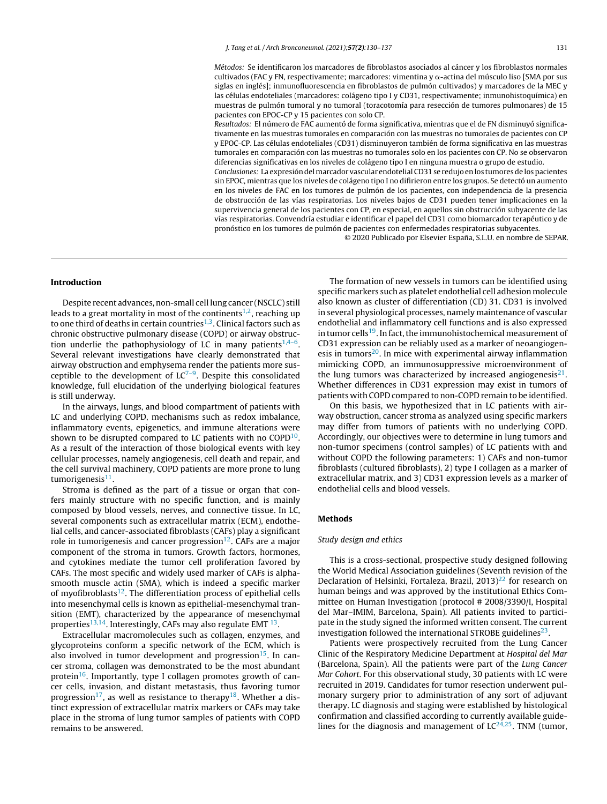Métodos: Se identificaron los marcadores de fibroblastos asociados al cáncer y los fibroblastos normales cultivados (FAC y FN, respectivamente; marcadores: vimentina y  $\alpha$ -actina del músculo liso [SMA por sus siglas en inglés]; inmunofluorescencia en fibroblastos de pulmón cultivados) y marcadores de la MEC y las células endoteliales (marcadores: colágeno tipo I y CD31, respectivamente; inmunohistoquímica) en muestras de pulmón tumoral y no tumoral (toracotomía para resección de tumores pulmonares) de 15 pacientes con EPOC-CP y 15 pacientes con solo CP.

Resultados: El número de FAC aumentó de forma significativa, mientras que el de FN disminuyó significativamente en las muestras tumorales en comparación con las muestras no tumorales de pacientes con CP y EPOC-CP. Las células endoteliales (CD31) disminuyeron también de forma significativa en las muestras tumorales en comparación con las muestras no tumorales solo en los pacientes con CP. No se observaron diferencias significativas en los niveles de colágeno tipo I en ninguna muestra o grupo de estudio.

Conclusiones: La expresión del marcador vascular endotelial CD31 se redujo en los tumores de los pacientes sin EPOC, mientras que los niveles de colágeno tipo I no difirieron entre los grupos. Se detectó un aumento en los niveles de FAC en los tumores de pulmón de los pacientes, con independencia de la presencia de obstrucción de las vías respiratorias. Los niveles bajos de CD31 pueden tener implicaciones en la supervivencia general de los pacientes con CP, en especial, en aquellos sin obstrucción subyacente de las vías respiratorias. Convendría estudiar e identificar el papel del CD31 como biomarcador terapéutico y de pronóstico en los tumores de pulmón de pacientes con enfermedades respiratorias subyacentes.

© 2020 Publicado por Elsevier España, S.L.U. en nombre de SEPAR.

## Introduction

Despite recent advances, non-small cell lung cancer (NSCLC) still leads to a great mortality in most of the continents<sup>[1,2](#page-6-0)</sup>, reaching up to one third of deaths in certain countries<sup>[1,3](#page-6-0)</sup>. Clinical factors such as chronic obstructive pulmonary disease (COPD) or airway obstruction underlie the pathophysiology of LC in many patients $1,4-6$ . Several relevant investigations have clearly demonstrated that airway obstruction and emphysema render the patients more susceptible to the development of  $LC^{7-9}$ . Despite this consolidated knowledge, full elucidation of the underlying biological features is still underway.

In the airways, lungs, and blood compartment of patients with LC and underlying COPD, mechanisms such as redox imbalance, inflammatory events, epigenetics, and immune alterations were shown to be disrupted compared to LC patients with no  $\mathsf{COPD^{10}.}$  $\mathsf{COPD^{10}.}$  $\mathsf{COPD^{10}.}$ As a result of the interaction of those biological events with key cellular processes, namely angiogenesis, cell death and repair, and the cell survival machinery, COPD patients are more prone to lung tumorigenesis<sup>[11](#page-6-0)</sup>.

Stroma is defined as the part of a tissue or organ that confers mainly structure with no specific function, and is mainly composed by blood vessels, nerves, and connective tissue. In LC, several components such as extracellular matrix (ECM), endothelial cells, and cancer-associated fibroblasts (CAFs) play a significant role in tumorigenesis and cancer progression $^{12}$  $^{12}$  $^{12}$ . CAFs are a major component of the stroma in tumors. Growth factors, hormones, and cytokines mediate the tumor cell proliferation favored by CAFs. The most specific and widely used marker of CAFs is alphasmooth muscle actin (SMA), which is indeed a specific marker of myofibroblasts<sup>[12](#page-6-0)</sup>. The differentiation process of epithelial cells into mesenchymal cells is known as epithelial-mesenchymal transition (EMT), characterized by the appearance of mesenchymal properties<sup>[13,14](#page-6-0)</sup>. Interestingly, CAFs may also regulate EMT  $^{13}$  $^{13}$  $^{13}$ .

Extracellular macromolecules such as collagen, enzymes, and glycoproteins conform a specific network of the ECM, which is also involved in tumor development and progression<sup>[15](#page-6-0)</sup>. In cancer stroma, collagen was demonstrated to be the most abundant protein<sup>[16](#page-6-0)</sup>. Importantly, type I collagen promotes growth of cancer cells, invasion, and distant metastasis, thus favoring tumor progression<sup>[17](#page-6-0)</sup>, as well as resistance to therapy<sup>[18](#page-6-0)</sup>. Whether a distinct expression of extracellular matrix markers or CAFs may take place in the stroma of lung tumor samples of patients with COPD remains to be answered.

The formation of new vessels in tumors can be identified using specific markers such as platelet endothelial cell adhesion molecule also known as cluster of differentiation (CD) 31. CD31 is involved in several physiological processes, namely maintenance of vascular endothelial and inflammatory cell functions and is also expressed in tumor cells<sup>[19](#page-6-0)</sup>. In fact, the immunohistochemical measurement of CD31 expression can be reliably used as a marker of neoangiogen-esis in tumors<sup>[20](#page-6-0)</sup>. In mice with experimental airway inflammation mimicking COPD, an immunosuppressive microenvironment of the lung tumors was characterized by increased angiogenesis<sup>[21](#page-6-0)</sup>. Whether differences in CD31 expression may exist in tumors of patients with COPD compared to non-COPD remain to be identified.

On this basis, we hypothesized that in LC patients with airway obstruction, cancer stroma as analyzed using specific markers may differ from tumors of patients with no underlying COPD. Accordingly, our objectives were to determine in lung tumors and non-tumor specimens (control samples) of LC patients with and without COPD the following parameters: 1) CAFs and non-tumor fibroblasts (cultured fibroblasts), 2) type I collagen as a marker of extracellular matrix, and 3) CD31 expression levels as a marker of endothelial cells and blood vessels.

#### Methods

## Study design and ethics

This is a cross-sectional, prospective study designed following the World Medical Association guidelines (Seventh revision of the Declaration of Helsinki, Fortaleza, Brazil, 2013)<sup>[22](#page-6-0)</sup> for research on human beings and was approved by the institutional Ethics Committee on Human Investigation (protocol # 2008/3390/I, Hospital del Mar–IMIM, Barcelona, Spain). All patients invited to participate in the study signed the informed written consent. The current investigation followed the international STROBE guidelines $^{23}$  $^{23}$  $^{23}$ .

Patients were prospectively recruited from the Lung Cancer Clinic of the Respiratory Medicine Department at Hospital del Mar (Barcelona, Spain). All the patients were part of the Lung Cancer Mar Cohort. For this observational study, 30 patients with LC were recruited in 2019. Candidates for tumor resection underwent pulmonary surgery prior to administration of any sort of adjuvant therapy. LC diagnosis and staging were established by histological confirmation and classified according to currently available guidelines for the diagnosis and management of  $LC^{24,25}$  $LC^{24,25}$  $LC^{24,25}$ . TNM (tumor,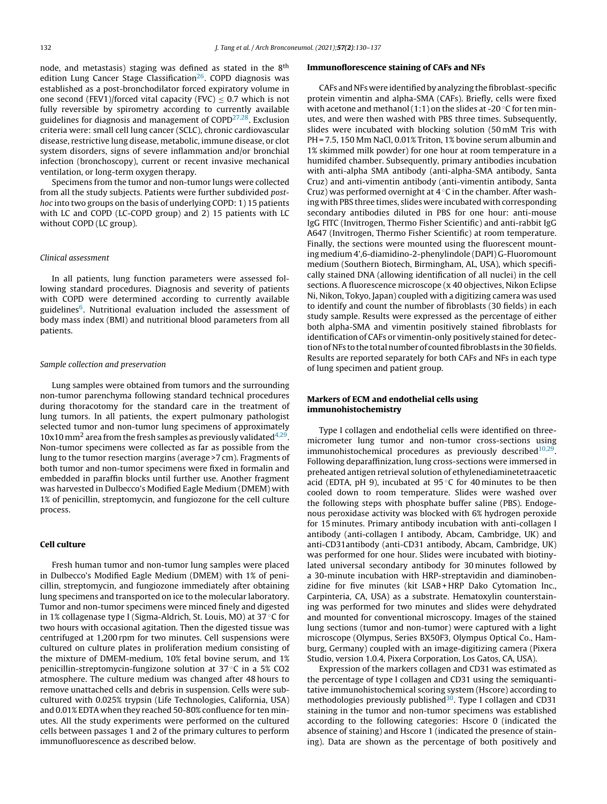node, and metastasis) staging was defined as stated in the 8<sup>th</sup> edition Lung Cancer Stage Classification<sup>[26](#page-7-0)</sup>. COPD diagnosis was established as a post-bronchodilator forced expiratory volume in one second (FEV1)/forced vital capacity (FVC)  $\leq$  0.7 which is not fully reversible by spirometry according to currently available guidelines for diagnosis and management of COPD<sup>[27,28](#page-7-0)</sup>. Exclusion criteria were: small cell lung cancer (SCLC), chronic cardiovascular disease, restrictive lung disease, metabolic, immune disease, or clot system disorders, signs of severe inflammation and/or bronchial infection (bronchoscopy), current or recent invasive mechanical ventilation, or long-term oxygen therapy.

Specimens from the tumor and non-tumor lungs were collected from all the study subjects. Patients were further subdivided posthoc into two groups on the basis of underlying COPD: 1) 15 patients with LC and COPD (LC-COPD group) and 2) 15 patients with LC without COPD (LC group).

# Clinical assessment

In all patients, lung function parameters were assessed following standard procedures. Diagnosis and severity of patients with COPD were determined according to currently available guidelines<sup>[6](#page-6-0)</sup>. Nutritional evaluation included the assessment of body mass index (BMI) and nutritional blood parameters from all patients.

## Sample collection and preservation

Lung samples were obtained from tumors and the surrounding non-tumor parenchyma following standard technical procedures during thoracotomy for the standard care in the treatment of lung tumors. In all patients, the expert pulmonary pathologist selected tumor and non-tumor lung specimens of approximately 10x10 mm<sup>2</sup> area from the fresh samples as previously validated $4,29$ . Non-tumor specimens were collected as far as possible from the lung to the tumor resection margins (average >7 cm). Fragments of both tumor and non-tumor specimens were fixed in formalin and embedded in paraffin blocks until further use. Another fragment was harvested in Dulbecco's Modified Eagle Medium (DMEM) with 1% of penicillin, streptomycin, and fungiozone for the cell culture process.

# Cell culture

Fresh human tumor and non-tumor lung samples were placed in Dulbecco's Modified Eagle Medium (DMEM) with 1% of penicillin, streptomycin, and fungiozone immediately after obtaining lung specimens and transported on ice to the molecular laboratory. Tumor and non-tumor specimens were minced finely and digested in 1% collagenase type I (Sigma-Aldrich, St. Louis, MO) at 37 ◦C for two hours with occasional agitation. Then the digested tissue was centrifuged at 1,200 rpm for two minutes. Cell suspensions were cultured on culture plates in proliferation medium consisting of the mixture of DMEM-medium, 10% fetal bovine serum, and 1% penicillin-streptomycin-fungizone solution at 37 ◦C in a 5% CO2 atmosphere. The culture medium was changed after 48 hours to remove unattached cells and debris in suspension. Cells were subcultured with 0.025% trypsin (Life Technologies, California, USA) and 0.01% EDTA when they reached 50-80% confluence for ten minutes. All the study experiments were performed on the cultured cells between passages 1 and 2 of the primary cultures to perform immunofluorescence as described below.

#### Immunoflorescence staining of CAFs and NFs

CAFs and NFs were identified by analyzing the fibroblast-specific protein vimentin and alpha-SMA (CAFs). Briefly, cells were fixed with acetone and methanol (1:1) on the slides at -20 $\degree$ C for ten minutes, and were then washed with PBS three times. Subsequently, slides were incubated with blocking solution (50 mM Tris with PH = 7.5, 150 Mm NaCl, 0.01% Triton, 1% bovine serum albumin and 1% skimmed milk powder) for one hour at room temperature in a humidifed chamber. Subsequently, primary antibodies incubation with anti-alpha SMA antibody (anti-alpha-SMA antibody, Santa Cruz) and anti-vimentin antibody (anti-vimentin antibody, Santa Cruz) was performed overnight at  $4^{\circ}$ C in the chamber. After washing with PBS three times, slides were incubated with corresponding secondary antibodies diluted in PBS for one hour: anti-mouse IgG FITC (Invitrogen, Thermo Fisher Scientific) and anti-rabbit IgG A647 (Invitrogen, Thermo Fisher Scientific) at room temperature. Finally, the sections were mounted using the fluorescent mounting medium 4',6-diamidino-2-phenylindole (DAPI) G-Fluoromount medium (Southern Biotech, Birmingham, AL, USA), which specifically stained DNA (allowing identification of all nuclei) in the cell sections. A fluorescence microscope (x 40 objectives, Nikon Eclipse Ni, Nikon, Tokyo, Japan) coupled with a digitizing camera was used to identify and count the number of fibroblasts (30 fields) in each study sample. Results were expressed as the percentage of either both alpha-SMA and vimentin positively stained fibroblasts for identification of CAFs or vimentin-only positively stained for detection of NFs to the total number of counted fibroblasts in the 30 fields. Results are reported separately for both CAFs and NFs in each type of lung specimen and patient group.

# Markers of ECM and endothelial cells using immunohistochemistry

Type I collagen and endothelial cells were identified on threemicrometer lung tumor and non-tumor cross-sections using immunohistochemical procedures as previously described $10,29$ . Following deparaffinization, lung cross-sections were immersed in preheated antigen retrieval solution of ethylenediaminetetraacetic acid (EDTA, pH 9), incubated at  $95^{\circ}$ C for 40 minutes to be then cooled down to room temperature. Slides were washed over the following steps with phosphate buffer saline (PBS). Endogenous peroxidase activity was blocked with 6% hydrogen peroxide for 15 minutes. Primary antibody incubation with anti-collagen I antibody (anti-collagen I antibody, Abcam, Cambridge, UK) and anti-CD31antibody (anti-CD31 antibody, Abcam, Cambridge, UK) was performed for one hour. Slides were incubated with biotinylated universal secondary antibody for 30 minutes followed by a 30-minute incubation with HRP-streptavidin and diaminobenzidine for five minutes (kit LSAB + HRP Dako Cytomation Inc., Carpinteria, CA, USA) as a substrate. Hematoxylin counterstaining was performed for two minutes and slides were dehydrated and mounted for conventional microscopy. Images of the stained lung sections (tumor and non-tumor) were captured with a light microscope (Olympus, Series BX50F3, Olympus Optical Co., Hamburg, Germany) coupled with an image-digitizing camera (Pixera Studio, version 1.0.4, Pixera Corporation, Los Gatos, CA, USA).

Expression of the markers collagen and CD31 was estimated as the percentage of type I collagen and CD31 using the semiquantitative immunohistochemical scoring system (Hscore) according to methodologies previously published<sup>[30](#page-7-0)</sup>. Type I collagen and CD31 staining in the tumor and non-tumor specimens was established according to the following categories: Hscore 0 (indicated the absence of staining) and Hscore 1 (indicated the presence of staining). Data are shown as the percentage of both positively and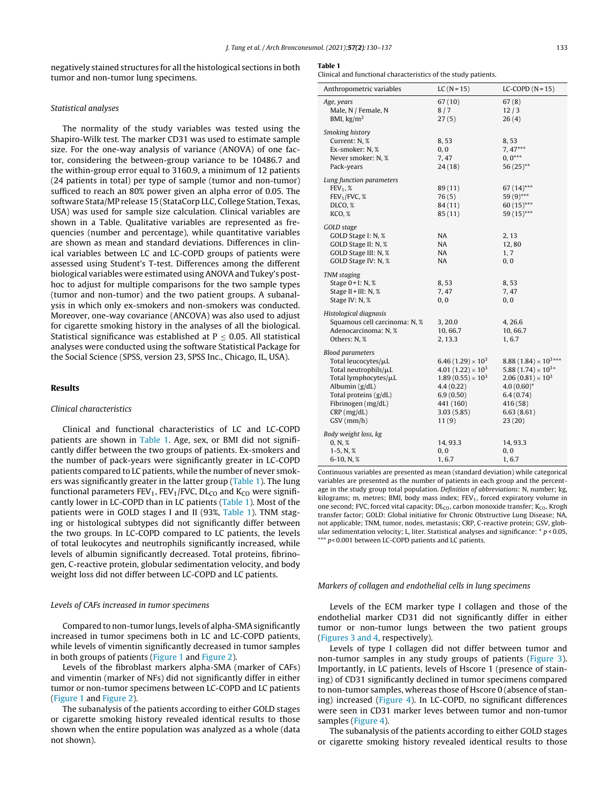negatively stained structures for all the histological sections in both tumor and non-tumor lung specimens.

#### Statistical analyses

The normality of the study variables was tested using the Shapiro-Wilk test. The marker CD31 was used to estimate sample size. For the one-way analysis of variance (ANOVA) of one factor, considering the between-group variance to be 10486.7 and the within-group error equal to 3160.9, a minimum of 12 patients (24 patients in total) per type of sample (tumor and non-tumor) sufficed to reach an 80% power given an alpha error of 0.05. The software Stata/MP release 15 (StataCorp LLC, College Station, Texas, USA) was used for sample size calculation. Clinical variables are shown in a Table. Qualitative variables are represented as frequencies (number and percentage), while quantitative variables are shown as mean and standard deviations. Differences in clinical variables between LC and LC-COPD groups of patients were assessed using Student's T-test. Differences among the different biological variables were estimated using ANOVA and Tukey's posthoc to adjust for multiple comparisons for the two sample types (tumor and non-tumor) and the two patient groups. A subanalysis in which only ex-smokers and non-smokers was conducted. Moreover, one-way covariance (ANCOVA) was also used to adjust for cigarette smoking history in the analyses of all the biological. Statistical significance was established at  $P < 0.05$ . All statistical analyses were conducted using the software Statistical Package for the Social Science (SPSS, version 23, SPSS Inc., Chicago, IL, USA).

## Results

## Clinical characteristics

Clinical and functional characteristics of LC and LC-COPD patients are shown in Table 1. Age, sex, or BMI did not significantly differ between the two groups of patients. Ex-smokers and the number of pack-years were significantly greater in LC-COPD patients compared to LC patients, while the number of never smokers was significantly greater in the latter group (Table 1). The lung functional parameters  $FEV_1$ ,  $FEV_1/FVC$ ,  $DL_{CO}$  and  $K_{CO}$  were significantly lower in LC-COPD than in LC patients (Table 1). Most of the patients were in GOLD stages I and II (93%, Table 1). TNM staging or histological subtypes did not significantly differ between the two groups. In LC-COPD compared to LC patients, the levels of total leukocytes and neutrophils significantly increased, while levels of albumin significantly decreased. Total proteins, fibrinogen, C-reactive protein, globular sedimentation velocity, and body weight loss did not differ between LC-COPD and LC patients.

#### Levels of CAFs increased in tumor specimens

Compared to non-tumor lungs, levels of alpha-SMA significantly increased in tumor specimens both in LC and LC-COPD patients, while levels of vimentin significantly decreased in tumor samples in both groups of patients ([Figure](#page-4-0) 1 and [Figure](#page-4-0) 2).

Levels of the fibroblast markers alpha-SMA (marker of CAFs) and vimentin (marker of NFs) did not significantly differ in either tumor or non-tumor specimens between LC-COPD and LC patients ([Figure](#page-4-0) 1 and [Figure](#page-4-0) 2).

The subanalysis of the patients according to either GOLD stages or cigarette smoking history revealed identical results to those shown when the entire population was analyzed as a whole (data not shown).

#### Table 1

Clinical and functional characteristics of the study patients.

| Anthropometric variables                                                                                                                                                                            | $LC (N = 15)$                                                                                                                                  | $LC-COPD (N=15)$                                                                                                                                          |
|-----------------------------------------------------------------------------------------------------------------------------------------------------------------------------------------------------|------------------------------------------------------------------------------------------------------------------------------------------------|-----------------------------------------------------------------------------------------------------------------------------------------------------------|
| Age, years<br>Male, N / Female, N<br>BMI, $\text{kg/m}^2$                                                                                                                                           | 67(10)<br>8/7<br>27(5)                                                                                                                         | 67(8)<br>12/3<br>26(4)                                                                                                                                    |
| Smoking history<br>Current: N, %<br>Ex-smoker: N, %<br>Never smoker: N, %<br>Pack-years                                                                                                             | 8,53<br>0, 0<br>7,47<br>24(18)                                                                                                                 | 8,53<br>7, 47***<br>$0, 0^{***}$<br>$56(25)$ **                                                                                                           |
| Lung function parameters<br>$FEV1$ , %<br>FEV <sub>1</sub> /FVC, %<br>DLCO, %<br>KCO, %                                                                                                             | 89(11)<br>76(5)<br>84(11)<br>85(11)                                                                                                            | $67(14)$ ***<br>59 (9)***<br>$60(15)$ ***<br>$59(15)$ ***                                                                                                 |
| GOLD stage<br>GOLD Stage I: N, %<br>GOLD Stage II: N, %<br>GOLD Stage III: N, %<br>GOLD Stage IV: N, %                                                                                              | NA<br>NA<br>NA<br><b>NA</b>                                                                                                                    | 2, 13<br>12,80<br>1, 7<br>0, 0                                                                                                                            |
| <b>TNM</b> staging<br>Stage $0+I: N, \mathcal{X}$<br>Stage II + III: N, %<br>Stage IV: N, %                                                                                                         | 8,53<br>7,47<br>0, 0                                                                                                                           | 8,53<br>7,47<br>0, 0                                                                                                                                      |
| Histological diagnosis<br>Squamous cell carcinoma: N, %<br>Adenocarcinoma: N, %<br>Others: N, %                                                                                                     | 3,20.0<br>10, 66.7<br>2, 13.3                                                                                                                  | 4, 26.6<br>10,66.7<br>1,6.7                                                                                                                               |
| <b>Blood parameters</b><br>Total leucocytes/µL<br>Total neutrophils/µL<br>Total lymphocytes/µL<br>Albumin $(g/dL)$<br>Total proteins (g/dL)<br>Fibrinogen (mg/dL)<br>CRP(mg/dL)<br>$GSV$ ( $mm/h$ ) | 6.46 $(1.29) \times 10^3$<br>4.01 $(1.22) \times 10^3$<br>$1.89(0.55)\times10^3$<br>4.4(0.22)<br>6.9(0.50)<br>441 (160)<br>3.03(5.85)<br>11(9) | $8.88(1.84)\times10^{3***}$<br>5.88 $(1.74) \times 10^{3*}$<br>$2.06(0.81)\times10^{3}$<br>$4.0(0.60)$ *<br>6.4(0.74)<br>416 (58)<br>6.63(8.61)<br>23(20) |
| Body weight loss, kg<br>0, N, %                                                                                                                                                                     | 14, 93.3                                                                                                                                       | 14, 93.3                                                                                                                                                  |
| 1-5, N, $%$<br>6-10, N, $%$                                                                                                                                                                         | 0, 0<br>1, 6.7                                                                                                                                 | 0, 0<br>1,6.7                                                                                                                                             |

Continuous variables are presented as mean (standard deviation) while categorical variables are presented as the number of patients in each group and the percentage in the study group total population. Definition of abbreviations: N, number; kg, kilograms; m, metres; BMI, body mass index;  $FEV<sub>1</sub>$ , forced expiratory volume in one second; FVC, forced vital capacity; DL<sub>CO</sub>, carbon monoxide transfer; K<sub>CO</sub>, Krogh transfer factor; GOLD: Global initiative for Chronic Obstructive Lung Disease; NA, not applicable; TNM, tumor, nodes, metastasis; CRP, C-reactive protein; GSV, globular sedimentation velocity; L, liter. Statistical analyses and significance:  $* p < 0.05$ , \*\*\* p<0.001 between LC-COPD patients and LC patients.

### Markers of collagen and endothelial cells in lung specimens

Levels of the ECM marker type I collagen and those of the endothelial marker CD31 did not significantly differ in either tumor or non-tumor lungs between the two patient groups [\(Figures](#page-5-0) 3 and 4, respectively).

Levels of type I collagen did not differ between tumor and non-tumor samples in any study groups of patients [\(Figure](#page-5-0) 3). Importantly, in LC patients, levels of Hscore 1 (presence of staining) of CD31 significantly declined in tumor specimens compared to non-tumor samples, whereas those of Hscore 0 (absence of staning) increased ([Figure](#page-5-0) 4). In LC-COPD, no significant differences were seen in CD31 marker leves between tumor and non-tumor samples ([Figure](#page-5-0) 4).

The subanalysis of the patients according to either GOLD stages or cigarette smoking history revealed identical results to those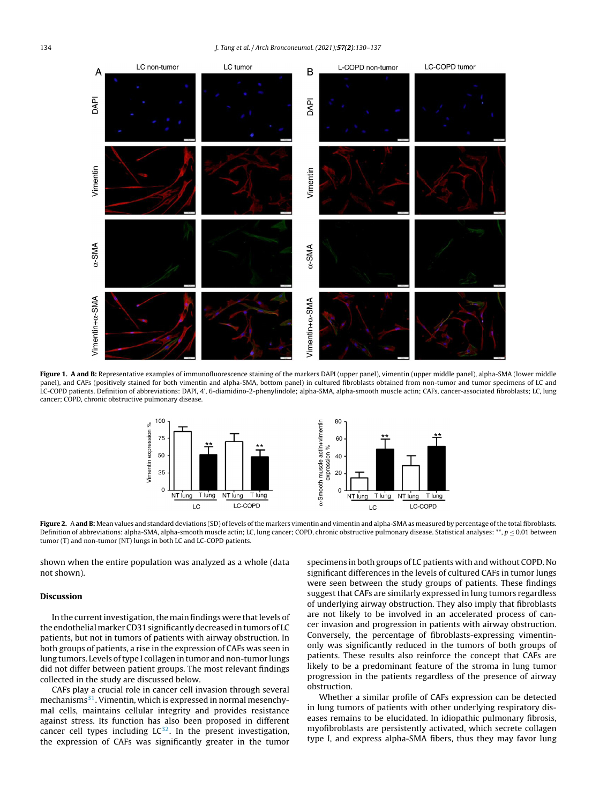<span id="page-4-0"></span>134 J. Tang et al. / Arch Bronconeumol. (2021);57(2):130–137



Figure 1. A and B: Representative examples of immunofluorescence staining of the markers DAPI (upper panel), vimentin (upper middle panel), alpha-SMA (lower middle panel), and CAFs (positively stained for both vimentin and alpha-SMA, bottom panel) in cultured fibroblasts obtained from non-tumor and tumor specimens of LC and LC-COPD patients. Definition of abbreviations: DAPI, 4', 6-diamidino-2-phenylindole; alpha-SMA, alpha-smooth muscle actin; CAFs, cancer-associated fibroblasts; LC, lung cancer; COPD, chronic obstructive pulmonary disease.



Figure 2. A and B: Mean values and standard deviations (SD) of levels of the markers vimentin and vimentin and alpha-SMA as measured by percentage of the total fibroblasts. Definition of abbreviations: alpha-SMA, alpha-smooth muscle actin; LC, lung cancer; COPD, chronic obstructive pulmonary disease. Statistical analyses: \*\*,  $p \le 0.01$  between tumor (T) and non-tumor (NT) lungs in both LC and LC-COPD patients.

shown when the entire population was analyzed as a whole (data not shown).

# Discussion

In the current investigation, the main findings were that levels of the endothelial marker CD31 significantly decreased in tumors of LC patients, but not in tumors of patients with airway obstruction. In both groups of patients, a rise in the expression of CAFs was seen in lung tumors. Levels of type I collagen in tumor and non-tumor lungs did not differ between patient groups. The most relevant findings collected in the study are discussed below.

CAFs play a crucial role in cancer cell invasion through several mechanisms<sup>[31](#page-7-0)</sup>. Vimentin, which is expressed in normal mesenchymal cells, maintains cellular integrity and provides resistance against stress. Its function has also been proposed in different cancer cell types including  $LC^{32}$  $LC^{32}$  $LC^{32}$ . In the present investigation, the expression of CAFs was significantly greater in the tumor

specimens in both groups of LC patients with and without COPD. No significant differences in the levels of cultured CAFs in tumor lungs were seen between the study groups of patients. These findings suggest that CAFs are similarly expressed in lung tumors regardless of underlying airway obstruction. They also imply that fibroblasts are not likely to be involved in an accelerated process of cancer invasion and progression in patients with airway obstruction. Conversely, the percentage of fibroblasts-expressing vimentinonly was significantly reduced in the tumors of both groups of patients. These results also reinforce the concept that CAFs are likely to be a predominant feature of the stroma in lung tumor progression in the patients regardless of the presence of airway obstruction.

Whether a similar profile of CAFs expression can be detected in lung tumors of patients with other underlying respiratory diseases remains to be elucidated. In idiopathic pulmonary fibrosis, myofibroblasts are persistently activated, which secrete collagen type I, and express alpha-SMA fibers, thus they may favor lung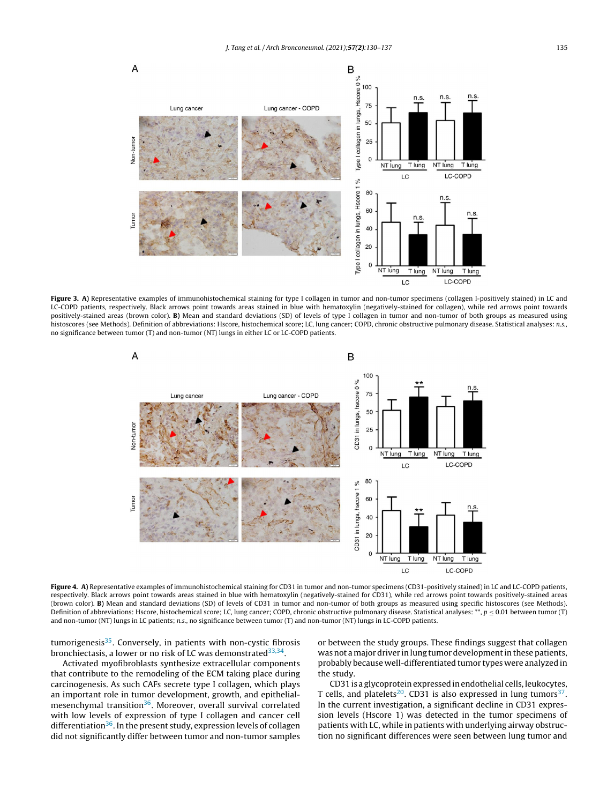<span id="page-5-0"></span>

Figure 3. A) Representative examples of immunohistochemical staining for type I collagen in tumor and non-tumor specimens (collagen I-positively stained) in LC and LC-COPD patients, respectively. Black arrows point towards areas stained in blue with hematoxylin (negatively-stained for collagen), while red arrows point towards positively-stained areas (brown color). B) Mean and standard deviations (SD) of levels of type I collagen in tumor and non-tumor of both groups as measured using histoscores (see Methods). Definition of abbreviations: Hscore, histochemical score; LC, lung cancer; COPD, chronic obstructive pulmonary disease. Statistical analyses: n.s., no significance between tumor (T) and non-tumor (NT) lungs in either LC or LC-COPD patients.



Figure 4. A) Representative examples of immunohistochemical staining for CD31 in tumor and non-tumor specimens (CD31-positively stained) in LC and LC-COPD patients, respectively. Black arrows point towards areas stained in blue with hematoxylin (negatively-stained for CD31), while red arrows point towards positively-stained areas (brown color). B) Mean and standard deviations (SD) of levels of CD31 in tumor and non-tumor of both groups as measured using specific histoscores (see Methods). Definition of abbreviations: Hscore, histochemical score; LC, lung cancer; COPD, chronic obstructive pulmonary disease. Statistical analyses: \*\*,  $p \le 0.01$  between tumor (T) and non-tumor (NT) lungs in LC patients; n.s., no significance between tumor (T) and non-tumor (NT) lungs in LC-COPD patients.

tumorigenesis<sup>[35](#page-7-0)</sup>. Conversely, in patients with non-cystic fibrosis bronchiectasis, a lower or no risk of LC was demonstrated<sup>[33,34](#page-7-0)</sup>.

Activated myofibroblasts synthesize extracellular components that contribute to the remodeling of the ECM taking place during carcinogenesis. As such CAFs secrete type I collagen, which plays an important role in tumor development, growth, and epithelial-mesenchymal transition<sup>[36](#page-7-0)</sup>. Moreover, overall survival correlated with low levels of expression of type I collagen and cancer cell differentiation<sup>[36](#page-7-0)</sup>. In the present study, expression levels of collagen did not significantly differ between tumor and non-tumor samples or between the study groups. These findings suggest that collagen was not a major driver in lung tumor development in these patients, probably because well-differentiated tumor types were analyzed in the study.

CD31 is a glycoprotein expressed in endothelial cells, leukocytes, T cells, and platelets<sup>[20](#page-6-0)</sup>. CD31 is also expressed in lung tumors<sup>[37](#page-7-0)</sup>. In the current investigation, a significant decline in CD31 expression levels (Hscore 1) was detected in the tumor specimens of patients with LC, while in patients with underlying airway obstruction no significant differences were seen between lung tumor and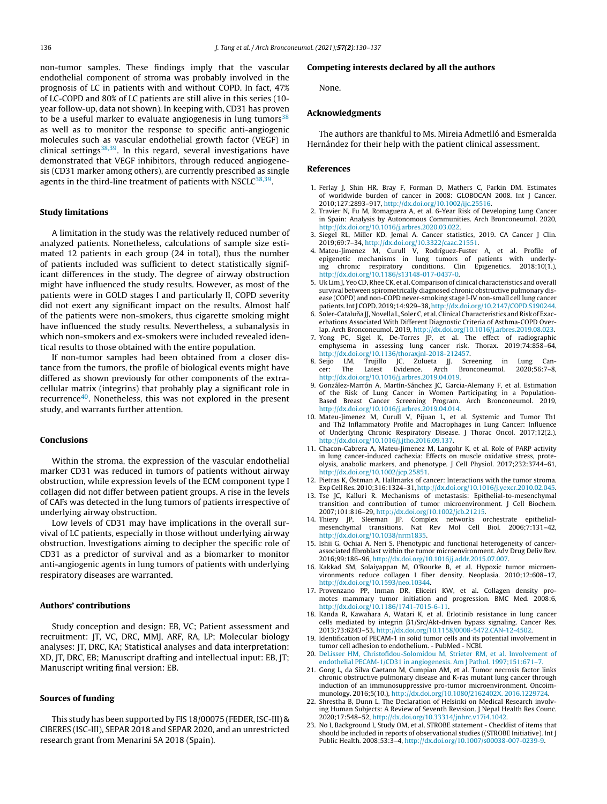<span id="page-6-0"></span>non-tumor samples. These findings imply that the vascular endothelial component of stroma was probably involved in the prognosis of LC in patients with and without COPD. In fact, 47% of LC-COPD and 80% of LC patients are still alive in this series (10 year follow-up, data not shown). In keeping with, CD31 has proven to be a useful marker to evaluate angiogenesis in lung tumors $38$ as well as to monitor the response to specific anti-angiogenic molecules such as vascular endothelial growth factor (VEGF) in clinical settings<sup>[38,39](#page-7-0)</sup>. In this regard, several investigations have demonstrated that VEGF inhibitors, through reduced angiogenesis (CD31 marker among others), are currently prescribed as single agents in the third-line treatment of patients with NSCLC $^{\rm 38,39}.$  $^{\rm 38,39}.$  $^{\rm 38,39}.$ 

## Study limitations

A limitation in the study was the relatively reduced number of analyzed patients. Nonetheless, calculations of sample size estimated 12 patients in each group (24 in total), thus the number of patients included was sufficient to detect statistically significant differences in the study. The degree of airway obstruction might have influenced the study results. However, as most of the patients were in GOLD stages I and particularly II, COPD severity did not exert any significant impact on the results. Almost half of the patients were non-smokers, thus cigarette smoking might have influenced the study results. Nevertheless, a subanalysis in which non-smokers and ex-smokers were included revealed identical results to those obtained with the entire population.

If non-tumor samples had been obtained from a closer distance from the tumors, the profile of biological events might have differed as shown previously for other components of the extracellular matrix (integrins) that probably play a significant role in recurrence<sup>[40](#page-7-0)</sup>. Nonetheless, this was not explored in the present study, and warrants further attention.

#### Conclusions

Within the stroma, the expression of the vascular endothelial marker CD31 was reduced in tumors of patients without airway obstruction, while expression levels of the ECM component type I collagen did not differ between patient groups. A rise in the levels of CAFs was detected in the lung tumors of patients irrespective of underlying airway obstruction.

Low levels of CD31 may have implications in the overall survival of LC patients, especially in those without underlying airway obstruction. Investigations aiming to decipher the specific role of CD31 as a predictor of survival and as a biomarker to monitor anti-angiogenic agents in lung tumors of patients with underlying respiratory diseases are warranted.

#### Authors' contributions

Study conception and design: EB, VC; Patient assessment and recruitment: JT, VC, DRC, MMJ, ARF, RA, LP; Molecular biology analyses: JT, DRC, KA; Statistical analyses and data interpretation: XD, JT, DRC, EB; Manuscript drafting and intellectual input: EB, JT; Manuscript writing final version: EB.

## Sources of funding

This study has been supported by FIS 18/00075 (FEDER, ISC-III) & CIBERES (ISC-III), SEPAR 2018 and SEPAR 2020, and an unrestricted research grant from Menarini SA 2018 (Spain).

#### Competing interests declared by all the authors

None.

# Acknowledgments

The authors are thankful to Ms. Mireia Admetlló and Esmeralda Hernández for their help with the patient clinical assessment.

## References

- 1. Ferlay J, Shin HR, Bray F, Forman D, Mathers C, Parkin DM. Estimates of worldwide burden of cancer in 2008: GLOBOCAN 2008. Int J Cancer. 2010;127:2893–917, [http://dx.doi.org/10.1002/ijc.25516](dx.doi.org/10.1002/ijc.25516).
- 2. Travier N, Fu M, Romaguera A, et al. 6-Year Risk of Developing Lung Cancer in Spain: Analysis by Autonomous Communities. Arch Bronconeumol. 2020, [http://dx.doi.org/10.1016/j.arbres.2020.03.022](dx.doi.org/10.1016/j.arbres.2020.03.022).
- 3. Siegel RL, Miller KD, Jemal A. Cancer statistics, 2019. CA Cancer J Clin. 2019;69:7–34, [http://dx.doi.org/10.3322/caac.21551](dx.doi.org/10.3322/caac.21551). 4. Mateu-Jimenez M, Curull V, Rodríguez-Fuster A, et al. Profile of
- epigenetic mechanisms in lung tumors of patients with underlying chronic respiratory conditions. Clin Epigenetics. 2018;10(1.), [http://dx.doi.org/10.1186/s13148-017-0437-0](dx.doi.org/10.1186/s13148-017-0437-0).
- 5. Uk Lim J, Yeo CD, Rhee CK, et al. Comparison of clinical characteristics and overall survival between spirometrically diagnosed chronic obstructive pulmonary disease (COPD) and non-COPD never-smoking stage I-IV non-small cell lung cancer patients.IntJCOPD. 2019;14:929–38,[http://dx.doi.org/10.2147/COPD.S190244](dx.doi.org/10.2147/COPD.S190244).
- 6. Soler-Cataluña JJ, Novella L, Soler C, et al. Clinical Characteristics and Risk of Exacerbations Associated With Different Diagnostic Criteria of Asthma-COPD Over-
- lap. Arch Bronconeumol. 2019, [http://dx.doi.org/10.1016/j.arbres.2019.08.023](dx.doi.org/10.1016/j.arbres.2019.08.023). 7. Yong PC, Sigel K, De-Torres JP, et al. The effect of radiographic emphysema in assessing lung cancer risk. Thorax. 2019;74:858–64, [http://dx.doi.org/10.1136/thoraxjnl-2018-212457](dx.doi.org/10.1136/thoraxjnl-2018-212457).
- 8. Seijo LM, Trujillo JC, Zulueta JJ. Screening in Lung Cancer: The Latest Evidence. Arch Bronconeumol. [http://dx.doi.org/10.1016/j.arbres.2019.04.019](dx.doi.org/10.1016/j.arbres.2019.04.019).
- 9. González-Marrón A, Martín-Sánchez JC, Garcia-Alemany F, et al. Estimation of the Risk of Lung Cancer in Women Participating in a Population-Based Breast Cancer Screening Program. Arch Bronconeumol. 2019, [http://dx.doi.org/10.1016/j.arbres.2019.04.014](dx.doi.org/10.1016/j.arbres.2019.04.014).
- 10. Mateu-Jimenez M, Curull V, Pijuan L, et al. Systemic and Tumor Th1 and Th2 Inflammatory Profile and Macrophages in Lung Cancer: Influence of Underlying Chronic Respiratory Disease. J Thorac Oncol. 2017;12(2.), [http://dx.doi.org/10.1016/j.jtho.2016.09.137](dx.doi.org/10.1016/j.jtho.2016.09.137).
- 11. Chacon-Cabrera A, Mateu-Jimenez M, Langohr K, et al. Role of PARP activity in lung cancer-induced cachexia: Effects on muscle oxidative stress, proteolysis, anabolic markers, and phenotype. J Cell Physiol. 2017;232:3744–61, [http://dx.doi.org/10.1002/jcp.25851](dx.doi.org/10.1002/jcp.25851).
- 12. Pietras K, Östman A. Hallmarks of cancer: Interactions with the tumor stroma. Exp CellRes. 2010;316:1324–31,[http://dx.doi.org/10.1016/j.yexcr.2010.02.045](dx.doi.org/10.1016/j.yexcr.2010.02.045).
- 13. Tse JC, Kalluri R. Mechanisms of metastasis: Epithelial-to-mesenchymal transition and contribution of tumor microenvironment. J Cell Biochem. 2007;101:816–29, [http://dx.doi.org/10.1002/jcb.21215.](dx.doi.org/10.1002/jcb.21215)
- 14. Thiery JP, Sleeman JP. Complex networks orchestrate epithelialmesenchymal transitions. Nat Rev Mol Cell Biol. 2006;7:131–42, [http://dx.doi.org/10.1038/nrm1835](dx.doi.org/10.1038/nrm1835).
- 15. Ishii G, Ochiai A, Neri S. Phenotypic and functional heterogeneity of cancerassociated fibroblast within the tumor microenvironment. Adv Drug Deliv Rev. 2016;99:186–96, [http://dx.doi.org/10.1016/j.addr.2015.07.007.](dx.doi.org/10.1016/j.addr.2015.07.007)
- 16. Kakkad SM, Solaiyappan M, O'Rourke B, et al. Hypoxic tumor microenvironments reduce collagen I fiber density. Neoplasia. 2010;12:608–17, [http://dx.doi.org/10.1593/neo.10344](dx.doi.org/10.1593/neo.10344).
- 17. Provenzano PP, Inman DR, Eliceiri KW, et al. Collagen density promotes mammary tumor initiation and progression. BMC Med. 2008:6, [http://dx.doi.org/10.1186/1741-7015-6-11](dx.doi.org/10.1186/1741-7015-6-11).
- 18. Kanda R, Kawahara A, Watari K, et al. Erlotinib resistance in lung cancer cells mediated by integrin  $\beta$ 1/Src/Akt-driven bypass signaling. Cancer Res. 2013;73:6243–53, [http://dx.doi.org/10.1158/0008-5472.CAN-12-4502.](dx.doi.org/10.1158/0008-5472.CAN-12-4502)
- 19. Identification of PECAM-1 in solid tumor cells and its potential involvement in tumor cell adhesion to endothelium. - PubMed - NCBI.
- 20. [DeLisser](http://refhub.elsevier.com/S0300-2896(20)30311-2/sbref0300) [HM,](http://refhub.elsevier.com/S0300-2896(20)30311-2/sbref0300) [Christofidou-Solomidou](http://refhub.elsevier.com/S0300-2896(20)30311-2/sbref0300) [M,](http://refhub.elsevier.com/S0300-2896(20)30311-2/sbref0300) [Strieter](http://refhub.elsevier.com/S0300-2896(20)30311-2/sbref0300) [RM,](http://refhub.elsevier.com/S0300-2896(20)30311-2/sbref0300) [et](http://refhub.elsevier.com/S0300-2896(20)30311-2/sbref0300) [al.](http://refhub.elsevier.com/S0300-2896(20)30311-2/sbref0300) [Involvement](http://refhub.elsevier.com/S0300-2896(20)30311-2/sbref0300) [of](http://refhub.elsevier.com/S0300-2896(20)30311-2/sbref0300) [endothelial](http://refhub.elsevier.com/S0300-2896(20)30311-2/sbref0300) [PECAM-1/CD31](http://refhub.elsevier.com/S0300-2896(20)30311-2/sbref0300) [in](http://refhub.elsevier.com/S0300-2896(20)30311-2/sbref0300) [angiogenesis.](http://refhub.elsevier.com/S0300-2896(20)30311-2/sbref0300) [Am](http://refhub.elsevier.com/S0300-2896(20)30311-2/sbref0300) [J](http://refhub.elsevier.com/S0300-2896(20)30311-2/sbref0300) [Pathol.](http://refhub.elsevier.com/S0300-2896(20)30311-2/sbref0300) [1997;151:671](http://refhub.elsevier.com/S0300-2896(20)30311-2/sbref0300)–[7.](http://refhub.elsevier.com/S0300-2896(20)30311-2/sbref0300)
- 21. Gong L, da Silva Caetano M, Cumpian AM, et al. Tumor necrosis factor links chronic obstructive pulmonary disease and K-ras mutant lung cancer through induction of an immunosuppressive pro-tumor microenvironment. Oncoimmunology. 2016;5(10.), [http://dx.doi.org/10.1080/2162402X.](dx.doi.org/10.1080/2162402X. 2016.1229724) 2016.1229724.
- 22. Shrestha B, Dunn L. The Declaration of Helsinki on Medical Research involving Human Subjects: A Review of Seventh Revision. J Nepal Health Res Counc. 2020;17:548–52, [http://dx.doi.org/10.33314/jnhrc.v17i4.1042](dx.doi.org/10.33314/jnhrc.v17i4.1042).
- 23. No I, Background I, Study OM, et al. STROBE statement Checklist of items that should be included in reports of observational studies ((STROBE Initiative). Int J Public Health. 2008;53:3–4, [http://dx.doi.org/10.1007/s00038-007-0239-9](dx.doi.org/10.1007/s00038-007-0239-9).